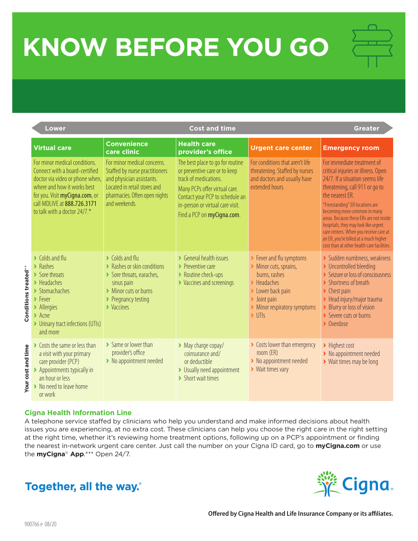## **KNOW BEFORE YOU GO**

| <b>Cost and time</b><br><b>Lower</b> |                                                                                                                                                                                                                                                                         |                                                                                                                                                                                               |                                                                                                                                                                                                                                  |                                                                                                                                                                                                                        | <b>Greater</b>                                                                                                                                                                                                                                                                                                                                                                                                                                  |  |
|--------------------------------------|-------------------------------------------------------------------------------------------------------------------------------------------------------------------------------------------------------------------------------------------------------------------------|-----------------------------------------------------------------------------------------------------------------------------------------------------------------------------------------------|----------------------------------------------------------------------------------------------------------------------------------------------------------------------------------------------------------------------------------|------------------------------------------------------------------------------------------------------------------------------------------------------------------------------------------------------------------------|-------------------------------------------------------------------------------------------------------------------------------------------------------------------------------------------------------------------------------------------------------------------------------------------------------------------------------------------------------------------------------------------------------------------------------------------------|--|
|                                      | <b>Virtual care</b>                                                                                                                                                                                                                                                     | <b>Convenience</b><br>care clinic                                                                                                                                                             | <b>Health care</b><br>provider's office                                                                                                                                                                                          | <b>Urgent care center</b>                                                                                                                                                                                              | <b>Emergency room</b>                                                                                                                                                                                                                                                                                                                                                                                                                           |  |
|                                      | For minor medical conditions.<br>Connect with a board-certified<br>doctor via video or phone when,<br>where and how it works best<br>for you. Visit myCigna.com, or<br>call MDLIVE at 888.726.3171<br>to talk with a doctor 24/7.*                                      | For minor medical concerns.<br>Staffed by nurse practitioners<br>and physician assistants.<br>Located in retail stores and<br>pharmacies. Often open nights<br>and weekends.                  | The best place to go for routine<br>or preventive care or to keep<br>track of medications.<br>Many PCPs offer virtual care.<br>Contact your PCP to schedule an<br>in-person or virtual care visit.<br>Find a PCP on myCigna.com. | For conditions that aren't life<br>threatening. Staffed by nurses<br>and doctors and usually have<br>extended hours.                                                                                                   | For immediate treatment of<br>critical injuries or illness. Open<br>24/7. If a situation seems life<br>threatening, call 911 or go to<br>the nearest ER.<br>"Freestanding" ER locations are<br>becoming more common in many<br>areas. Because these ERs are not inside<br>hospitals, they may look like urgent<br>care centers. When you receive care at<br>an ER, you're billed at a much higher<br>cost than at other health care facilities. |  |
| Conditions treated**                 | $\blacktriangleright$ Colds and flu<br>$\blacktriangleright$ Rashes<br>> Sore throats<br>$\blacktriangleright$ Headaches<br>> Stomachaches<br>$\blacktriangleright$ Fever<br>> Allergies<br>$\blacktriangleright$ Acne<br>> Urinary tract infections (UTIs)<br>and more | $\blacktriangleright$ Colds and flu<br>> Rashes or skin conditions<br>Sore throats, earaches,<br>sinus pain<br>> Minor cuts or burns<br>▶ Pregnancy testing<br>$\blacktriangleright$ Vaccines | ▶ General health issues<br>$\blacktriangleright$ Preventive care<br>> Routine check-ups<br>> Vaccines and screenings                                                                                                             | > Fever and flu symptoms<br>Minor cuts, sprains,<br>burns, rashes<br>$\blacktriangleright$ Headaches<br>> Lower back pain<br>$\blacktriangleright$ Joint pain<br>> Minor respiratory symptoms<br>$\triangleright$ UTIs | > Sudden numbness, weakness<br>> Uncontrolled bleeding<br>Seizure or loss of consciousness<br>> Shortness of breath<br>$\blacktriangleright$ Chest pain<br>> Head injury/major trauma<br>> Blurry or loss of vision<br>Severe cuts or burns<br>• Overdose                                                                                                                                                                                       |  |
| Your cost and time                   | Costs the same or less than<br>a visit with your primary<br>care provider (PCP)<br>▶ Appointments typically in<br>an hour or less<br>> No need to leave home<br>or work                                                                                                 | > Same or lower than<br>provider's office<br>> No appointment needed                                                                                                                          | > May charge copay/<br>coinsurance and/<br>or deductible<br>> Usually need appointment<br>> Short wait times                                                                                                                     | Costs lower than emergency<br>room (ER)<br>> No appointment needed<br>▶ Wait times vary                                                                                                                                | > Highest cost<br>> No appointment needed<br>> Wait times may be long                                                                                                                                                                                                                                                                                                                                                                           |  |

## **Cigna Health Information Line**

A telephone service staffed by clinicians who help you understand and make informed decisions about health issues you are experiencing, at no extra cost. These clinicians can help you choose the right care in the right setting at the right time, whether it's reviewing home treatment options, following up on a PCP's appointment or finding the nearest in-network urgent care center. Just call the number on your Cigna ID card, go to **myCigna.com** or use the **myCigna**® **App**.\*\*\* Open 24/7.

## Together, all the way.